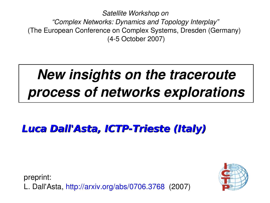*Satellite Workshop on "Complex Networks: Dynamics and Topology Interplay"* (The European Conference on Complex Systems, Dresden (Germany) (45 October 2007)

# *New insights on the traceroute process of networks explorations*

**Luca Dall'Asta, ICTP-Trieste (Italy)**

preprint: L. Dall'Asta, http://arxiv.org/abs/0706.3768 (2007)

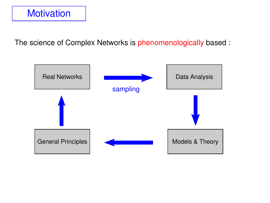

The science of Complex Networks is phenomenologically based :

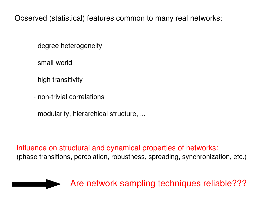Observed (statistical) features common to many real networks:

- degree heterogeneity
- small-world
- high transitivity
- non-trivial correlations
- modularity, hierarchical structure, ...

Influence on structural and dynamical properties of networks:

(phase transitions, percolation, robustness, spreading, synchronization, etc.)

Are network sampling techniques reliable???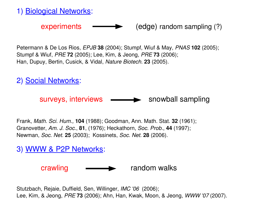1) Biological Networks:

 $experiments$   $\qquad \qquad \qquad (edge)$  random sampling (?)

Petermann & De Los Rios, *EPJB* **38** (2004); Stumpf, Wiuf & May, *PNAS* **102** (2005); Stumpf & Wiuf, *PRE* **72** (2005); Lee, Kim, & Jeong, *PRE* **73** (2006); Han, Dupuy, Bertin, Cusick, & Vidal, *Nature Biotech.* **23** (2005).

2) Social Networks:

surveys, interviews  $\longrightarrow$  snowball sampling

Frank, *Math. Sci. Hum.,* **104** (1988); Goodman, Ann. Math. Stat. **32** (1961); Granovetter, *Am. J. Soc.*, **81**, (1976); Heckathorn, *Soc. Prob.*, **44** (1997); Newman, *Soc. Net.* **25** (2003); Kossinets, *Soc. Net.* **28** (2006).

3) WWW & P2P Networks:

crawling  $\longrightarrow$  random walks

Stutzbach, Rejaie, Duffield, Sen, Willinger, *IMC '06* (2006); Lee, Kim, & Jeong, *PRE* **73** (2006); Ahn, Han, Kwak, Moon, & Jeong, *WWW '07* (2007).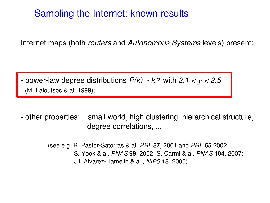### Sampling the Internet: known results

Internet maps (both *routers* and *Autonomous Systems* levels) present:

- power-law degree distributions  $P(k) \sim k$ <sup>3</sup> with 2.1  $<$   $\gamma$   $<$  2.5 (M. Faloutsos & al. 1999);

 other properties: small world, high clustering, hierarchical structure, degree correlations, ...

> (see e.g. R. Pastor-Satorras & al. *PRL* 87, 2001 and *PRE* 65 2002; S. Yook & al. *PNAS* **99**, 2002; S. Carmi & al. *PNAS* **104**, 2007; J.I. AlvarezHamelin & al., *NIPS* **18**, 2006)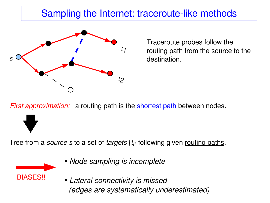# Sampling the Internet: traceroute-like methods



Traceroute probes follow the routing path from the source to the destination.

*First approximation:* a routing path is the shortest path between nodes.

Tree from a *source s* to a set of *targets* {*t<sup>i</sup>* } following given routing paths.



- *Node sampling is incomplete*
- *Lateral connectivity is missed (edges are systematically underestimated)*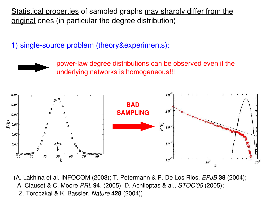Statistical properties of sampled graphs may sharply differ from the original ones (in particular the degree distribution)

1) single-source problem (theory&experiments):



power-law degree distributions can be observed even if the underlying networks is homogeneous!!!



(A. Lakhina et al. INFOCOM (2003); T. Petermann & P. De Los Rios, *EPJB* **38** (2004); A. Clauset & C. Moore *PRL* **94**, (2005); D. Achlioptas & al., *STOC'05* (2005); Z. Toroczkai & K. Bassler, *Nature* **428** (2004))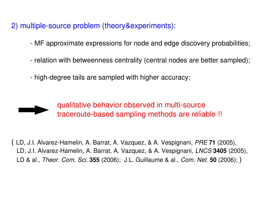2) multiple-source problem (theory&experiments):

- MF approximate expressions for node and edge discovery probabilities;
- relation with betweenness centrality (central nodes are better sampled);
- high-degree tails are sampled with higher accuracy;



qualitative behavior observed in multi-source traceroute-based sampling methods are reliable !!

( LD, J.I. Alvarez-Hamelin, A. Barrat, A. Vazquez, & A. Vespignani, *PRE* 71 (2005), LD, J.I. Alvarez-Hamelin, A. Barrat, A. Vazquez, & A. Vespignani, *LNCS* 3405 (2005), LD & al., *Theor. Com. Sci.* **355** (2006); J.L. Guillaume & al., *Com. Net.* **50** (2006); )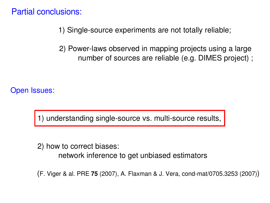Partial conclusions:

- 1) Single-source experiments are not totally reliable;
- 2) Power-laws observed in mapping projects using a large number of sources are reliable (e.g. DIMES project) ;

Open Issues:

in a sh

1) understanding single-source vs. multi-source results,

 2) how to correct biases: network inference to get unbiased estimators

(F. Viger & al. PRE **75** (2007), A. Flaxman & J. Vera, condmat/0705.3253 (2007))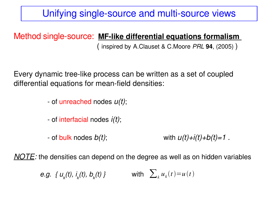# Unifying single-source and multi-source views

### **Method single-source: MF-like differential equations formalism**

( inspired by A.Clauset & C.Moore *PRL* **94**, (2005) )

Every dynamic tree-like process can be written as a set of coupled differential equations for mean-field densities:

- of unreached nodes *u(t)*;
- of interfacial nodes *i(t)*;
- of bulk nodes  $b(t)$ ; with  $u(t)+i(t)+b(t)=1$ .

*NOTE:* the densities can depend on the degree as well as on hidden variables

*e.g. { u<sup>k</sup> (t), i k (t), b<sup>k</sup>* (*t*) *}* with  $\sum_{k} u_{k}(t) = u(t)$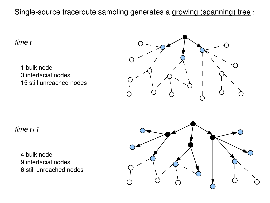Single-source traceroute sampling generates a growing (spanning) tree :

*time t*

 bulk node interfacial nodes still unreached nodes



*time t+1*

 bulk node interfacial nodes still unreached nodes

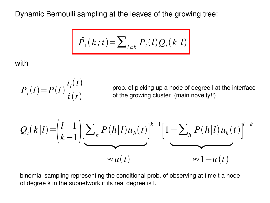Dynamic Bernoulli sampling at the leaves of the growing tree:

$$
\tilde{P}_1(k;t) = \sum_{l \ge k} P_t(l) Q_t(k|l)
$$

with

$$
P_{t}(l) = P(l)\frac{i_{l}(t)}{i(t)}
$$

prob. of picking up a node of degree l at the interface of the growing cluster (main novelty!!)

$$
Q_t(k|l) = \left(\frac{l-1}{k-1}\right) \left[\sum_h P(h|l)u_h(t)\right]^{k-1} \left[1 - \sum_h P(h|l)u_h(t)\right]^{l-k}
$$

$$
\approx \overline{u}(t) \qquad \approx 1 - \overline{u}(t)
$$

binomial sampling representing the conditional prob. of observing at time t a node of degree k in the subnetwork if its real degree is l.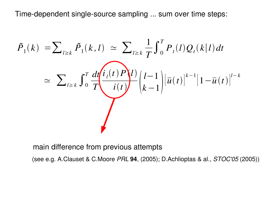Time-dependent single-source sampling ... sum over time steps:

$$
\tilde{P}_1(k) = \sum_{l \ge k} \tilde{P}_1(k, l) \simeq \sum_{l \ge k} \frac{1}{T} \int_0^T P_t(l) Q_t(k|l) dt
$$
  

$$
\simeq \sum_{l \ge k} \int_0^T \frac{dt \left(i_l(t) P_l(l)\right)}{i(t)} \left(l-1 \right) \left[\bar{u}(t)\right]^{k-1} \left[1 - \bar{u}(t)\right]^{l-k}
$$

main difference from previous attempts

(see e.g. A.Clauset & C.Moore *PRL* **94**, (2005); D.Achlioptas & al., *STOC'05* (2005))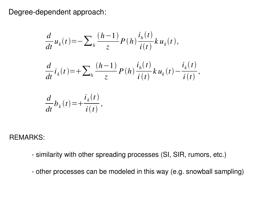Degree-dependent approach:

$$
\frac{d}{dt}u_k(t) = -\sum_{h} \frac{(h-1)}{z} P(h) \frac{i_h(t)}{i(t)} k u_k(t),
$$
\n
$$
\frac{d}{dt}i_k(t) = +\sum_{h} \frac{(h-1)}{z} P(h) \frac{i_h(t)}{i(t)} k u_k(t) - \frac{i_k(t)}{i(t)},
$$
\n
$$
\frac{d}{dt}b_k(t) = +\frac{i_k(t)}{i(t)},
$$

REMARKS:

- similarity with other spreading processes (SI, SIR, rumors, etc.)
- other processes can be modeled in this way (e.g. snowball sampling)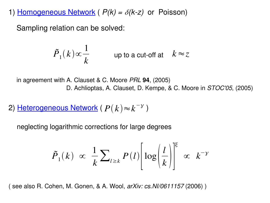1) Homogeneous Network ( $P(k) = \delta(k-z)$  or Poisson)

Sampling relation can be solved:

$$
\tilde{P}_1(k) \propto \frac{1}{k} \qquad \text{up to a cut-off at} \quad k \approx z
$$

in agreement with A. Clauset & C. Moore *PRL* **94**, (2005) D. Achlioptas, A. Clauset, D. Kempe, & C. Moore in *STOC'05*, (2005)

2) <u>Heterogeneous Network</u> (  $P(k) \!\approx\! k^{-\gamma}$  )

neglecting logarithmic corrections for large degrees

$$
\tilde{P}_1(k) \propto \frac{1}{k} \sum_{l \ge k} P(l) \left[ \log \left( \frac{l}{k} \right) \right]^{\xi} \propto k^{-\gamma}
$$

( see also R. Cohen, M. Gonen, & A. Wool, *arXiv: cs.NI/0611157* (2006) )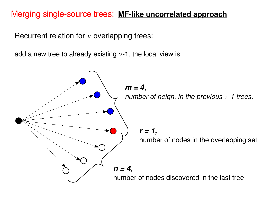### Merging single-source trees: MF-like uncorrelated approach

Recurrent relation for  $\nu$  overlapping trees:

add a new tree to already existing  $v-1$ , the local view is

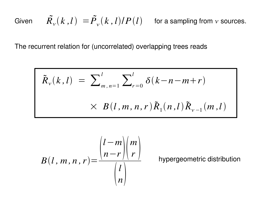Given 
$$
\tilde{R}_{\nu}(k,l) = \tilde{P}_{\nu}(k,l)/P(l)
$$
 for a sampling from  $\nu$  sources.

The recurrent relation for (uncorrelated) overlapping trees reads

$$
\tilde{R}_{\nu}(k,l) = \sum_{m,n=1}^{l} \sum_{r=0}^{l} \delta(k-n-m+r)
$$
  
 
$$
\times B(l,m,n,r) \tilde{R}_{1}(n,l) \tilde{R}_{\nu-1}(m,l)
$$

$$
B(l, m, n, r) = \frac{\binom{l-m}{n-r}\binom{m}{r}}{\binom{l}{n}}
$$

hypergeometric distribution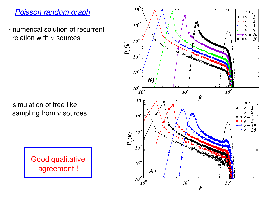### *Poisson random graph*

 numerical solution of recurrent relation with  $\nu$  sources

- simulation of tree-like sampling from  $v$  sources.

> Good qualitative agreement!!

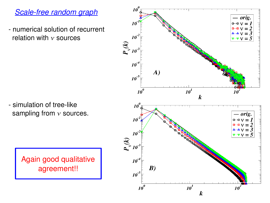### **Scale-free random graph**

 numerical solution of recurrent relation with  $\nu$  sources

- simulation of tree-like sampling from  $\nu$  sources.

 $10^0$ orig.  $10^{\degree}$  $\theta$  = 0  $\theta$  $10^7$  $\sqrt{v}$   $\sqrt{v}$   $\sqrt{5}$  $P_{\mathbf{v}}(k)$  $10^{\degree}$ 10 A)  $10^{-5}$  $10^0$  $10^1$  $\boldsymbol{k}$  $10^0$  $-$  orig.  $10^1$  $\theta$   $\theta$   $\upsilon$   $=$  $\mathbf{B} - \mathbf{B} \mathbf{v} = 2$  $\triangle \triangle$   $\vee$  = 3 16  $\overline{v} - v = 5$  $P_{10^{-3}}^{(k)}$  $10<sup>-4</sup>$ B)  $10^{\text{-}5}$  $10^0$  $10^1$ *10*  $\boldsymbol{k}$ 

Again good qualitative agreement!!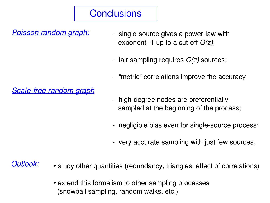# **Conclusions**

*Poisson random graph:*

- single-source gives a power-law with exponent -1 up to a cut-off  $O(z)$ ;
- fair sampling requires  $O(z)$  sources;
- "metric" correlations improve the accuracy

**Scale-free random graph** 

- high-degree nodes are preferentially sampled at the beginning of the process;
- negligible bias even for single-source process;
- very accurate sampling with just few sources;

### *Outlook:*

- study other quantities (redundancy, triangles, effect of correlations)
- extend this formalism to other sampling processes (snowball sampling, random walks, etc.)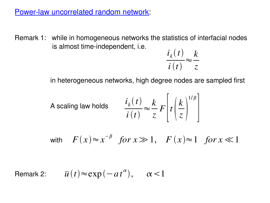#### Power-law uncorrelated random network:

Remark 1: while in homogeneous networks the statistics of interfacial nodes is almost time-independent, i.e.

$$
\frac{i_k(t)}{i(t)} \approx \frac{k}{z}
$$

in heterogeneous networks, high degree nodes are sampled first

A scaling law holds 
$$
\frac{i_k(t)}{i(t)} \approx \frac{k}{z} F\left[t\left(\frac{k}{z}\right)^{1/\beta}\right]
$$

 $F(x) \approx x^{-\beta}$  *for*  $x \gg 1$ ,  $F(x) \approx 1$  *for*  $x \ll 1$ 

Remark 2:  $\overline{u}(t) \approx \exp(-at^{\alpha}), \quad \alpha < 1$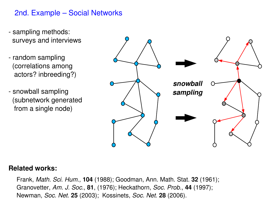### 2nd. Example – Social Networks

- sampling methods: surveys and interviews
- random sampling (correlations among actors? inbreeding?)
- snowball sampling (subnetwork generated from a single node)



#### **Related works:**

Frank, *Math. Sci. Hum.,* **104** (1988); Goodman, Ann. Math. Stat. **32** (1961); Granovetter, *Am. J. Soc.*, **81**, (1976); Heckathorn, *Soc. Prob.*, **44** (1997); Newman, *Soc. Net.* **25** (2003); Kossinets, *Soc. Net.* **28** (2006).